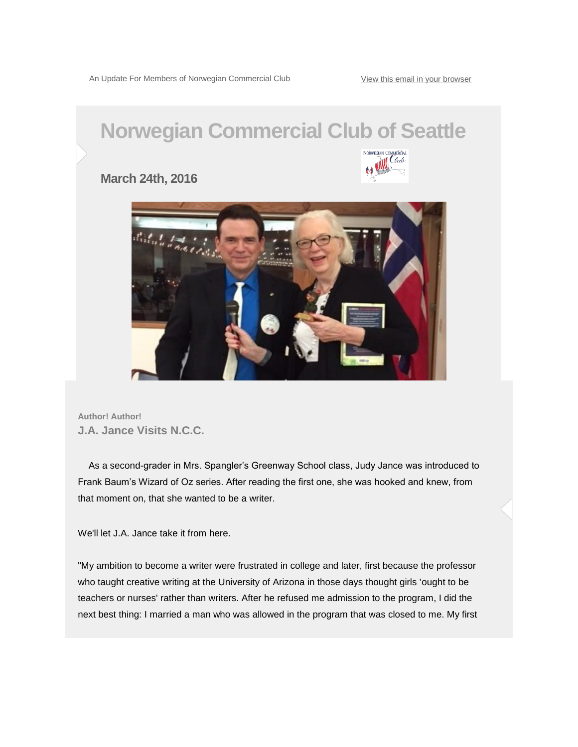An Update For Members of Norwegian Commercial Club [View this email in your browser](*|ARCHIVE|*)

## **Norwegian Commercial Club of Seattle**



## **March 24th, 2016**



**Author! Author! J.A. Jance Visits N.C.C.**

As a second-grader in Mrs. Spangler's Greenway School class, Judy Jance was introduced to Frank Baum's Wizard of Oz series. After reading the first one, she was hooked and knew, from that moment on, that she wanted to be a writer.

We'll let J.A. Jance take it from here.

"My ambition to become a writer were frustrated in college and later, first because the professor who taught creative writing at the University of Arizona in those days thought girls 'ought to be teachers or nurses' rather than writers. After he refused me admission to the program, I did the next best thing: I married a man who was allowed in the program that was closed to me. My first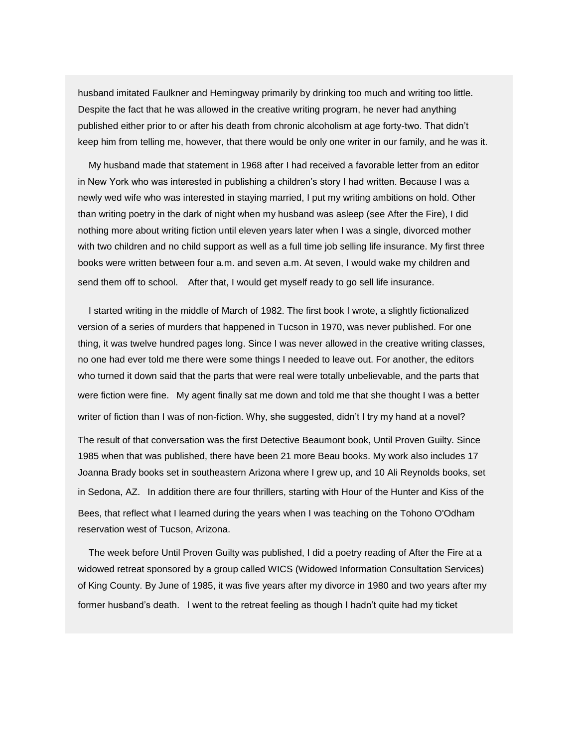husband imitated Faulkner and Hemingway primarily by drinking too much and writing too little. Despite the fact that he was allowed in the creative writing program, he never had anything published either prior to or after his death from chronic alcoholism at age forty-two. That didn't keep him from telling me, however, that there would be only one writer in our family, and he was it.

My husband made that statement in 1968 after I had received a favorable letter from an editor in New York who was interested in publishing a children's story I had written. Because I was a newly wed wife who was interested in staying married, I put my writing ambitions on hold. Other than writing poetry in the dark of night when my husband was asleep (see After the Fire), I did nothing more about writing fiction until eleven years later when I was a single, divorced mother with two children and no child support as well as a full time job selling life insurance. My first three books were written between four a.m. and seven a.m. At seven, I would wake my children and send them off to school. After that, I would get myself ready to go sell life insurance.

I started writing in the middle of March of 1982. The first book I wrote, a slightly fictionalized version of a series of murders that happened in Tucson in 1970, was never published. For one thing, it was twelve hundred pages long. Since I was never allowed in the creative writing classes, no one had ever told me there were some things I needed to leave out. For another, the editors who turned it down said that the parts that were real were totally unbelievable, and the parts that were fiction were fine. My agent finally sat me down and told me that she thought I was a better writer of fiction than I was of non-fiction. Why, she suggested, didn't I try my hand at a novel?

The result of that conversation was the first Detective Beaumont book, Until Proven Guilty. Since 1985 when that was published, there have been 21 more Beau books. My work also includes 17 Joanna Brady books set in southeastern Arizona where I grew up, and 10 Ali Reynolds books, set in Sedona, AZ. In addition there are four thrillers, starting with Hour of the Hunter and Kiss of the Bees, that reflect what I learned during the years when I was teaching on the Tohono O'Odham reservation west of Tucson, Arizona.

The week before Until Proven Guilty was published, I did a poetry reading of After the Fire at a widowed retreat sponsored by a group called WICS (Widowed Information Consultation Services) of King County. By June of 1985, it was five years after my divorce in 1980 and two years after my former husband's death. I went to the retreat feeling as though I hadn't quite had my ticket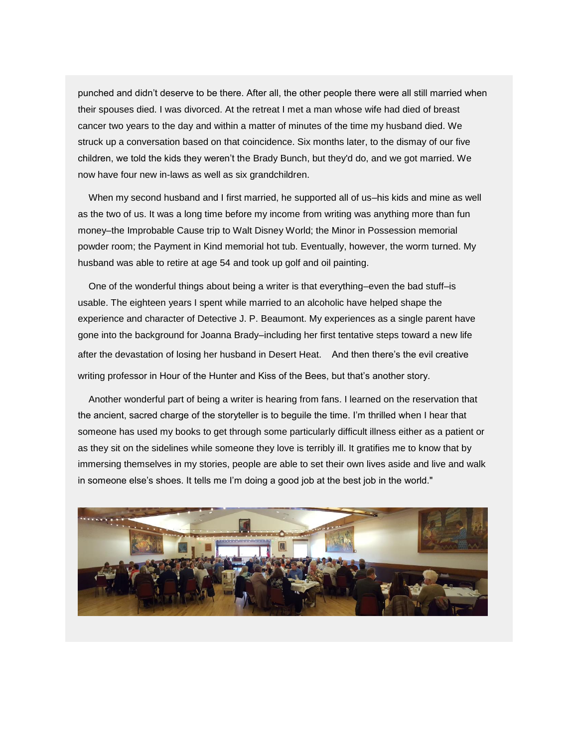punched and didn't deserve to be there. After all, the other people there were all still married when their spouses died. I was divorced. At the retreat I met a man whose wife had died of breast cancer two years to the day and within a matter of minutes of the time my husband died. We struck up a conversation based on that coincidence. Six months later, to the dismay of our five children, we told the kids they weren't the Brady Bunch, but they'd do, and we got married. We now have four new in-laws as well as six grandchildren.

When my second husband and I first married, he supported all of us–his kids and mine as well as the two of us. It was a long time before my income from writing was anything more than fun money–the Improbable Cause trip to Walt Disney World; the Minor in Possession memorial powder room; the Payment in Kind memorial hot tub. Eventually, however, the worm turned. My husband was able to retire at age 54 and took up golf and oil painting.

One of the wonderful things about being a writer is that everything–even the bad stuff–is usable. The eighteen years I spent while married to an alcoholic have helped shape the experience and character of Detective J. P. Beaumont. My experiences as a single parent have gone into the background for Joanna Brady–including her first tentative steps toward a new life after the devastation of losing her husband in Desert Heat. And then there's the evil creative writing professor in Hour of the Hunter and Kiss of the Bees, but that's another story.

Another wonderful part of being a writer is hearing from fans. I learned on the reservation that the ancient, sacred charge of the storyteller is to beguile the time. I'm thrilled when I hear that someone has used my books to get through some particularly difficult illness either as a patient or as they sit on the sidelines while someone they love is terribly ill. It gratifies me to know that by immersing themselves in my stories, people are able to set their own lives aside and live and walk in someone else's shoes. It tells me I'm doing a good job at the best job in the world."